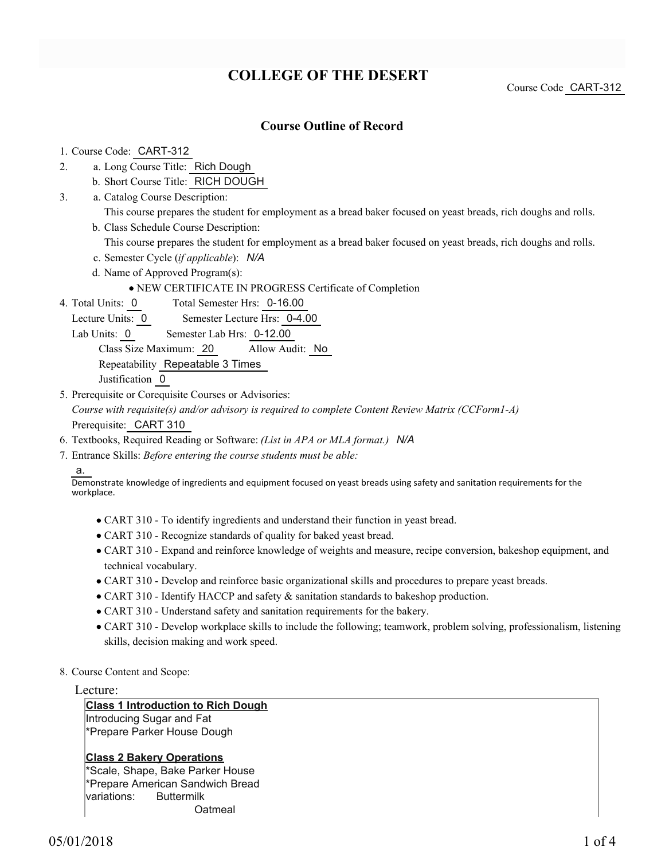# **COLLEGE OF THE DESERT**

Course Code CART-312

### **Course Outline of Record**

- 1. Course Code: CART-312
- a. Long Course Title: Rich Dough 2.
	- b. Short Course Title: RICH DOUGH
- Catalog Course Description: a. 3.
	- This course prepares the student for employment as a bread baker focused on yeast breads, rich doughs and rolls. b. Class Schedule Course Description:
		- This course prepares the student for employment as a bread baker focused on yeast breads, rich doughs and rolls.
	- c. Semester Cycle (*if applicable*): *N/A*
	- d. Name of Approved Program(s):
		- NEW CERTIFICATE IN PROGRESS Certificate of Completion
- Total Semester Hrs: 0-16.00 4. Total Units: 0
	- Lecture Units: 0 Semester Lecture Hrs: 0-4.00
	- Lab Units: 0 Semester Lab Hrs: 0-12.00

Class Size Maximum: 20 Allow Audit: No

Repeatability Repeatable 3 Times

Justification 0

- 5. Prerequisite or Corequisite Courses or Advisories: *Course with requisite(s) and/or advisory is required to complete Content Review Matrix (CCForm1-A)* Prerequisite: CART 310
- 6. Textbooks, Required Reading or Software: *(List in APA or MLA format.) N/A*
- Entrance Skills: *Before entering the course students must be able:* 7.

a.

Demonstrate knowledge of ingredients and equipment focused on yeast breads using safety and sanitation requirements for the workplace.

- CART 310 To identify ingredients and understand their function in yeast bread.
- CART 310 Recognize standards of quality for baked yeast bread.
- CART 310 Expand and reinforce knowledge of weights and measure, recipe conversion, bakeshop equipment, and technical vocabulary.
- CART 310 Develop and reinforce basic organizational skills and procedures to prepare yeast breads.
- CART 310 Identify HACCP and safety & sanitation standards to bakeshop production.
- CART 310 Understand safety and sanitation requirements for the bakery.
- CART 310 Develop workplace skills to include the following; teamwork, problem solving, professionalism, listening skills, decision making and work speed.
- 8. Course Content and Scope:

#### Lecture:

#### **Class 1 Introduction to Rich Dough**

Introducing Sugar and Fat \*Prepare Parker House Dough

#### **Class 2 Bakery Operations**

\*Scale, Shape, Bake Parker House \*Prepare American Sandwich Bread variations: Buttermilk **Oatmeal**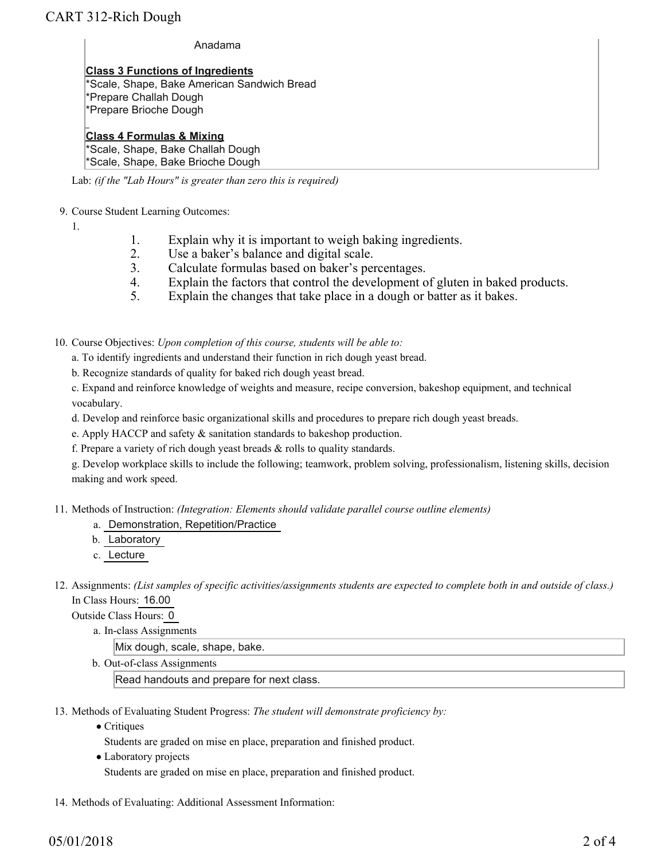#### Anadama

**Class 3 Functions of Ingredients** \*Scale, Shape, Bake American Sandwich Bread \*Prepare Challah Dough \*Prepare Brioche Dough

## **Class 4 Formulas & Mixing**

\*Scale, Shape, Bake Challah Dough \*Scale, Shape, Bake Brioche Dough

Lab: *(if the "Lab Hours" is greater than zero this is required)*

- 9. Course Student Learning Outcomes:
	- 1.
- 1. Explain why it is important to weigh baking ingredients.
- 2. Use a baker's balance and digital scale.<br>3. Calculate formulas based on baker's per
- Calculate formulas based on baker's percentages.
- 4. Explain the factors that control the development of gluten in baked products.
- 5. Explain the changes that take place in a dough or batter as it bakes.

10. Course Objectives: Upon completion of this course, students will be able to:

- a. To identify ingredients and understand their function in rich dough yeast bread.
- b. Recognize standards of quality for baked rich dough yeast bread.

c. Expand and reinforce knowledge of weights and measure, recipe conversion, bakeshop equipment, and technical vocabulary.

- d. Develop and reinforce basic organizational skills and procedures to prepare rich dough yeast breads.
- e. Apply HACCP and safety & sanitation standards to bakeshop production.
- f. Prepare a variety of rich dough yeast breads & rolls to quality standards.

g. Develop workplace skills to include the following; teamwork, problem solving, professionalism, listening skills, decision making and work speed.

Methods of Instruction: *(Integration: Elements should validate parallel course outline elements)* 11.

- a. Demonstration, Repetition/Practice
- b. Laboratory
- c. Lecture
- 12. Assignments: (List samples of specific activities/assignments students are expected to complete both in and outside of class.) In Class Hours: 16.00

Outside Class Hours: 0

a. In-class Assignments

Mix dough, scale, shape, bake.

b. Out-of-class Assignments

Read handouts and prepare for next class.

- 13. Methods of Evaluating Student Progress: The student will demonstrate proficiency by:
	- Critiques
		- Students are graded on mise en place, preparation and finished product.
	- Laboratory projects Students are graded on mise en place, preparation and finished product.
- 14. Methods of Evaluating: Additional Assessment Information: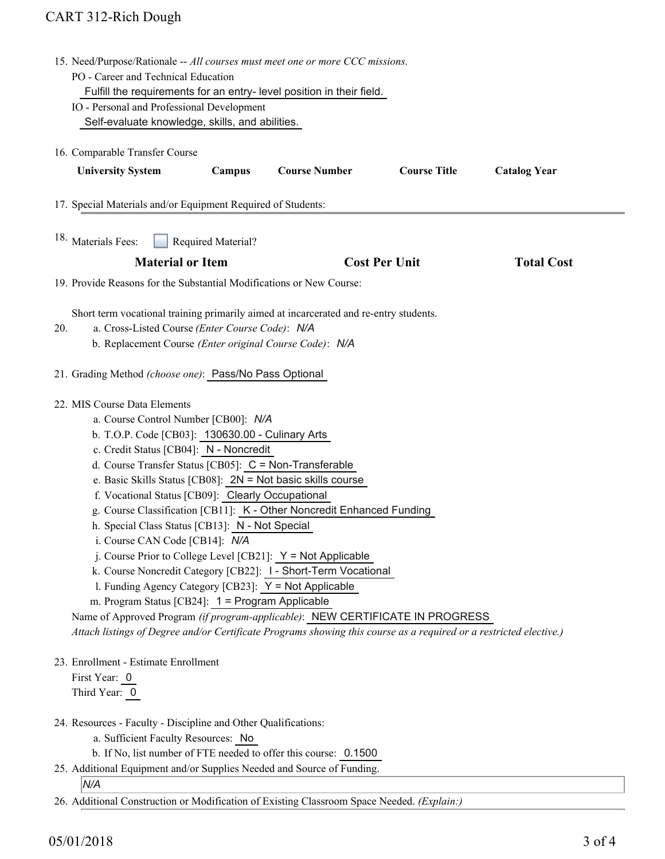# CART 312-Rich Dough

|                                                                        | 15. Need/Purpose/Rationale -- All courses must meet one or more CCC missions.                                                                                                                                                                                                                                                                                                                                                                                                                                                                                                                                                                                                                                                                                         |                                                                                                            |                      |                      |                     |  |
|------------------------------------------------------------------------|-----------------------------------------------------------------------------------------------------------------------------------------------------------------------------------------------------------------------------------------------------------------------------------------------------------------------------------------------------------------------------------------------------------------------------------------------------------------------------------------------------------------------------------------------------------------------------------------------------------------------------------------------------------------------------------------------------------------------------------------------------------------------|------------------------------------------------------------------------------------------------------------|----------------------|----------------------|---------------------|--|
|                                                                        | PO - Career and Technical Education                                                                                                                                                                                                                                                                                                                                                                                                                                                                                                                                                                                                                                                                                                                                   |                                                                                                            |                      |                      |                     |  |
|                                                                        | Fulfill the requirements for an entry-level position in their field.                                                                                                                                                                                                                                                                                                                                                                                                                                                                                                                                                                                                                                                                                                  |                                                                                                            |                      |                      |                     |  |
|                                                                        | IO - Personal and Professional Development                                                                                                                                                                                                                                                                                                                                                                                                                                                                                                                                                                                                                                                                                                                            |                                                                                                            |                      |                      |                     |  |
|                                                                        | Self-evaluate knowledge, skills, and abilities.                                                                                                                                                                                                                                                                                                                                                                                                                                                                                                                                                                                                                                                                                                                       |                                                                                                            |                      |                      |                     |  |
| 16. Comparable Transfer Course                                         |                                                                                                                                                                                                                                                                                                                                                                                                                                                                                                                                                                                                                                                                                                                                                                       |                                                                                                            |                      |                      |                     |  |
|                                                                        |                                                                                                                                                                                                                                                                                                                                                                                                                                                                                                                                                                                                                                                                                                                                                                       |                                                                                                            |                      |                      |                     |  |
|                                                                        | <b>University System</b>                                                                                                                                                                                                                                                                                                                                                                                                                                                                                                                                                                                                                                                                                                                                              | Campus                                                                                                     | <b>Course Number</b> | <b>Course Title</b>  | <b>Catalog Year</b> |  |
|                                                                        | 17. Special Materials and/or Equipment Required of Students:                                                                                                                                                                                                                                                                                                                                                                                                                                                                                                                                                                                                                                                                                                          |                                                                                                            |                      |                      |                     |  |
|                                                                        | 18. Materials Fees:<br>Required Material?                                                                                                                                                                                                                                                                                                                                                                                                                                                                                                                                                                                                                                                                                                                             |                                                                                                            |                      |                      |                     |  |
|                                                                        | <b>Material or Item</b>                                                                                                                                                                                                                                                                                                                                                                                                                                                                                                                                                                                                                                                                                                                                               |                                                                                                            |                      | <b>Cost Per Unit</b> | <b>Total Cost</b>   |  |
|                                                                        | 19. Provide Reasons for the Substantial Modifications or New Course:                                                                                                                                                                                                                                                                                                                                                                                                                                                                                                                                                                                                                                                                                                  |                                                                                                            |                      |                      |                     |  |
|                                                                        |                                                                                                                                                                                                                                                                                                                                                                                                                                                                                                                                                                                                                                                                                                                                                                       |                                                                                                            |                      |                      |                     |  |
|                                                                        | Short term vocational training primarily aimed at incarcerated and re-entry students.                                                                                                                                                                                                                                                                                                                                                                                                                                                                                                                                                                                                                                                                                 |                                                                                                            |                      |                      |                     |  |
| 20.                                                                    |                                                                                                                                                                                                                                                                                                                                                                                                                                                                                                                                                                                                                                                                                                                                                                       | a. Cross-Listed Course (Enter Course Code): N/A<br>b. Replacement Course (Enter original Course Code): N/A |                      |                      |                     |  |
|                                                                        |                                                                                                                                                                                                                                                                                                                                                                                                                                                                                                                                                                                                                                                                                                                                                                       |                                                                                                            |                      |                      |                     |  |
|                                                                        | 21. Grading Method (choose one): Pass/No Pass Optional                                                                                                                                                                                                                                                                                                                                                                                                                                                                                                                                                                                                                                                                                                                |                                                                                                            |                      |                      |                     |  |
|                                                                        | 22. MIS Course Data Elements                                                                                                                                                                                                                                                                                                                                                                                                                                                                                                                                                                                                                                                                                                                                          |                                                                                                            |                      |                      |                     |  |
|                                                                        | a. Course Control Number [CB00]: N/A                                                                                                                                                                                                                                                                                                                                                                                                                                                                                                                                                                                                                                                                                                                                  |                                                                                                            |                      |                      |                     |  |
|                                                                        | b. T.O.P. Code [CB03]: 130630.00 - Culinary Arts<br>c. Credit Status [CB04]: N - Noncredit<br>d. Course Transfer Status [CB05]: C = Non-Transferable<br>e. Basic Skills Status [CB08]: 2N = Not basic skills course<br>f. Vocational Status [CB09]: Clearly Occupational<br>g. Course Classification [CB11]: K - Other Noncredit Enhanced Funding<br>h. Special Class Status [CB13]: N - Not Special<br>i. Course CAN Code [CB14]: N/A<br>j. Course Prior to College Level [CB21]: Y = Not Applicable<br>k. Course Noncredit Category [CB22]: 1 - Short-Term Vocational<br>1. Funding Agency Category [CB23]: Y = Not Applicable<br>m. Program Status [CB24]: 1 = Program Applicable<br>Name of Approved Program (if program-applicable): NEW CERTIFICATE IN PROGRESS |                                                                                                            |                      |                      |                     |  |
|                                                                        |                                                                                                                                                                                                                                                                                                                                                                                                                                                                                                                                                                                                                                                                                                                                                                       |                                                                                                            |                      |                      |                     |  |
|                                                                        |                                                                                                                                                                                                                                                                                                                                                                                                                                                                                                                                                                                                                                                                                                                                                                       |                                                                                                            |                      |                      |                     |  |
|                                                                        |                                                                                                                                                                                                                                                                                                                                                                                                                                                                                                                                                                                                                                                                                                                                                                       |                                                                                                            |                      |                      |                     |  |
|                                                                        |                                                                                                                                                                                                                                                                                                                                                                                                                                                                                                                                                                                                                                                                                                                                                                       |                                                                                                            |                      |                      |                     |  |
|                                                                        |                                                                                                                                                                                                                                                                                                                                                                                                                                                                                                                                                                                                                                                                                                                                                                       |                                                                                                            |                      |                      |                     |  |
|                                                                        |                                                                                                                                                                                                                                                                                                                                                                                                                                                                                                                                                                                                                                                                                                                                                                       |                                                                                                            |                      |                      |                     |  |
|                                                                        |                                                                                                                                                                                                                                                                                                                                                                                                                                                                                                                                                                                                                                                                                                                                                                       |                                                                                                            |                      |                      |                     |  |
|                                                                        |                                                                                                                                                                                                                                                                                                                                                                                                                                                                                                                                                                                                                                                                                                                                                                       |                                                                                                            |                      |                      |                     |  |
|                                                                        |                                                                                                                                                                                                                                                                                                                                                                                                                                                                                                                                                                                                                                                                                                                                                                       |                                                                                                            |                      |                      |                     |  |
|                                                                        |                                                                                                                                                                                                                                                                                                                                                                                                                                                                                                                                                                                                                                                                                                                                                                       |                                                                                                            |                      |                      |                     |  |
|                                                                        |                                                                                                                                                                                                                                                                                                                                                                                                                                                                                                                                                                                                                                                                                                                                                                       |                                                                                                            |                      |                      |                     |  |
|                                                                        | Attach listings of Degree and/or Certificate Programs showing this course as a required or a restricted elective.)                                                                                                                                                                                                                                                                                                                                                                                                                                                                                                                                                                                                                                                    |                                                                                                            |                      |                      |                     |  |
|                                                                        | 23. Enrollment - Estimate Enrollment                                                                                                                                                                                                                                                                                                                                                                                                                                                                                                                                                                                                                                                                                                                                  |                                                                                                            |                      |                      |                     |  |
|                                                                        | First Year: 0                                                                                                                                                                                                                                                                                                                                                                                                                                                                                                                                                                                                                                                                                                                                                         |                                                                                                            |                      |                      |                     |  |
|                                                                        | Third Year: 0                                                                                                                                                                                                                                                                                                                                                                                                                                                                                                                                                                                                                                                                                                                                                         |                                                                                                            |                      |                      |                     |  |
|                                                                        | 24. Resources - Faculty - Discipline and Other Qualifications:                                                                                                                                                                                                                                                                                                                                                                                                                                                                                                                                                                                                                                                                                                        |                                                                                                            |                      |                      |                     |  |
|                                                                        | a. Sufficient Faculty Resources: No                                                                                                                                                                                                                                                                                                                                                                                                                                                                                                                                                                                                                                                                                                                                   |                                                                                                            |                      |                      |                     |  |
|                                                                        | b. If No, list number of FTE needed to offer this course: 0.1500                                                                                                                                                                                                                                                                                                                                                                                                                                                                                                                                                                                                                                                                                                      |                                                                                                            |                      |                      |                     |  |
| 25. Additional Equipment and/or Supplies Needed and Source of Funding. |                                                                                                                                                                                                                                                                                                                                                                                                                                                                                                                                                                                                                                                                                                                                                                       |                                                                                                            |                      |                      |                     |  |
|                                                                        | N/A                                                                                                                                                                                                                                                                                                                                                                                                                                                                                                                                                                                                                                                                                                                                                                   |                                                                                                            |                      |                      |                     |  |
|                                                                        |                                                                                                                                                                                                                                                                                                                                                                                                                                                                                                                                                                                                                                                                                                                                                                       | 26. Additional Construction or Modification of Existing Classroom Space Needed. (Explain:)                 |                      |                      |                     |  |